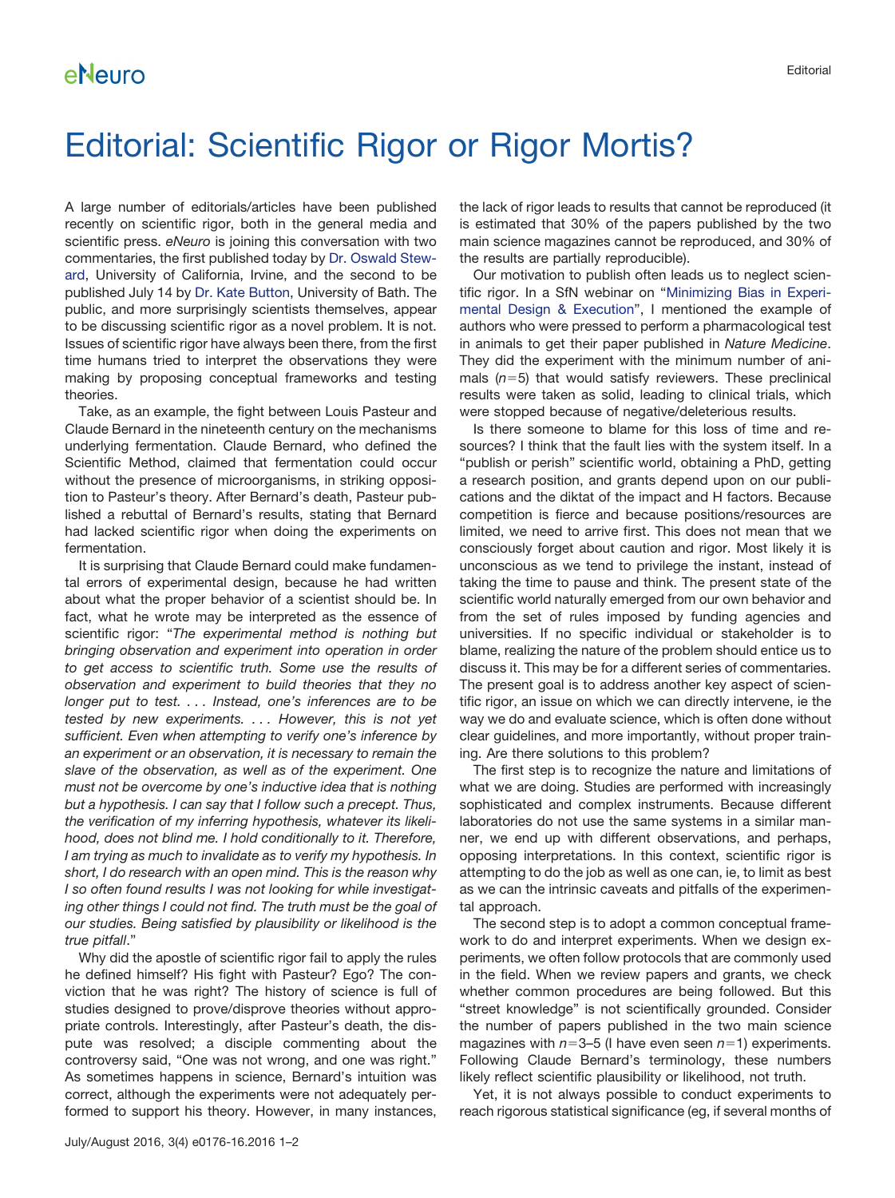## Editorial: Scientific Rigor or Rigor Mortis?

A large number of editorials/articles have been published recently on scientific rigor, both in the general media and scientific press. *eNeuro* is joining this conversation with two commentaries, the first published today by [Dr. Oswald Stew](http://eneuro.org/content/3/4/ENEURO.0072-16.2016)[ard,](http://eneuro.org/content/3/4/ENEURO.0072-16.2016) University of California, Irvine, and the second to be published July 14 by [Dr. Kate Button,](http://eneuro.org/content/3/4/ENEURO.0030-16.2016) University of Bath. The public, and more surprisingly scientists themselves, appear to be discussing scientific rigor as a novel problem. It is not. Issues of scientific rigor have always been there, from the first time humans tried to interpret the observations they were making by proposing conceptual frameworks and testing theories.

Take, as an example, the fight between Louis Pasteur and Claude Bernard in the nineteenth century on the mechanisms underlying fermentation. Claude Bernard, who defined the Scientific Method, claimed that fermentation could occur without the presence of microorganisms, in striking opposition to Pasteur's theory. After Bernard's death, Pasteur published a rebuttal of Bernard's results, stating that Bernard had lacked scientific rigor when doing the experiments on fermentation.

It is surprising that Claude Bernard could make fundamental errors of experimental design, because he had written about what the proper behavior of a scientist should be. In fact, what he wrote may be interpreted as the essence of scientific rigor: "*The experimental method is nothing but bringing observation and experiment into operation in order to get access to scientific truth. Some use the results of observation and experiment to build theories that they no longer put to test. . . . Instead, one's inferences are to be tested by new experiments. . . . However, this is not yet sufficient. Even when attempting to verify one's inference by an experiment or an observation, it is necessary to remain the slave of the observation, as well as of the experiment. One must not be overcome by one's inductive idea that is nothing but a hypothesis. I can say that I follow such a precept. Thus, the verification of my inferring hypothesis, whatever its likelihood, does not blind me. I hold conditionally to it. Therefore, I am trying as much to invalidate as to verify my hypothesis. In short, I do research with an open mind. This is the reason why I so often found results I was not looking for while investigating other things I could not find. The truth must be the goal of our studies. Being satisfied by plausibility or likelihood is the true pitfall*."

Why did the apostle of scientific rigor fail to apply the rules he defined himself? His fight with Pasteur? Ego? The conviction that he was right? The history of science is full of studies designed to prove/disprove theories without appropriate controls. Interestingly, after Pasteur's death, the dispute was resolved; a disciple commenting about the controversy said, "One was not wrong, and one was right." As sometimes happens in science, Bernard's intuition was correct, although the experiments were not adequately performed to support his theory. However, in many instances, the lack of rigor leads to results that cannot be reproduced (it is estimated that 30% of the papers published by the two main science magazines cannot be reproduced, and 30% of the results are partially reproducible).

Our motivation to publish often leads us to neglect scientific rigor. In a SfN webinar on ["Minimizing Bias in Experi](http://neuronline.sfn.org/Articles/Professional-Development/2016/Minimizing-Bias-in-Experimental-Design-and-Execution)[mental Design & Execution"](http://neuronline.sfn.org/Articles/Professional-Development/2016/Minimizing-Bias-in-Experimental-Design-and-Execution), I mentioned the example of authors who were pressed to perform a pharmacological test in animals to get their paper published in *Nature Medicine*. They did the experiment with the minimum number of animals (*n*-5) that would satisfy reviewers. These preclinical results were taken as solid, leading to clinical trials, which were stopped because of negative/deleterious results.

Is there someone to blame for this loss of time and resources? I think that the fault lies with the system itself. In a "publish or perish" scientific world, obtaining a PhD, getting a research position, and grants depend upon on our publications and the diktat of the impact and H factors. Because competition is fierce and because positions/resources are limited, we need to arrive first. This does not mean that we consciously forget about caution and rigor. Most likely it is unconscious as we tend to privilege the instant, instead of taking the time to pause and think. The present state of the scientific world naturally emerged from our own behavior and from the set of rules imposed by funding agencies and universities. If no specific individual or stakeholder is to blame, realizing the nature of the problem should entice us to discuss it. This may be for a different series of commentaries. The present goal is to address another key aspect of scientific rigor, an issue on which we can directly intervene, ie the way we do and evaluate science, which is often done without clear guidelines, and more importantly, without proper training. Are there solutions to this problem?

The first step is to recognize the nature and limitations of what we are doing. Studies are performed with increasingly sophisticated and complex instruments. Because different laboratories do not use the same systems in a similar manner, we end up with different observations, and perhaps, opposing interpretations. In this context, scientific rigor is attempting to do the job as well as one can, ie, to limit as best as we can the intrinsic caveats and pitfalls of the experimental approach.

The second step is to adopt a common conceptual framework to do and interpret experiments. When we design experiments, we often follow protocols that are commonly used in the field. When we review papers and grants, we check whether common procedures are being followed. But this "street knowledge" is not scientifically grounded. Consider the number of papers published in the two main science magazines with *n*-3–5 (I have even seen *n*-1) experiments. Following Claude Bernard's terminology, these numbers likely reflect scientific plausibility or likelihood, not truth.

Yet, it is not always possible to conduct experiments to reach rigorous statistical significance (eg, if several months of